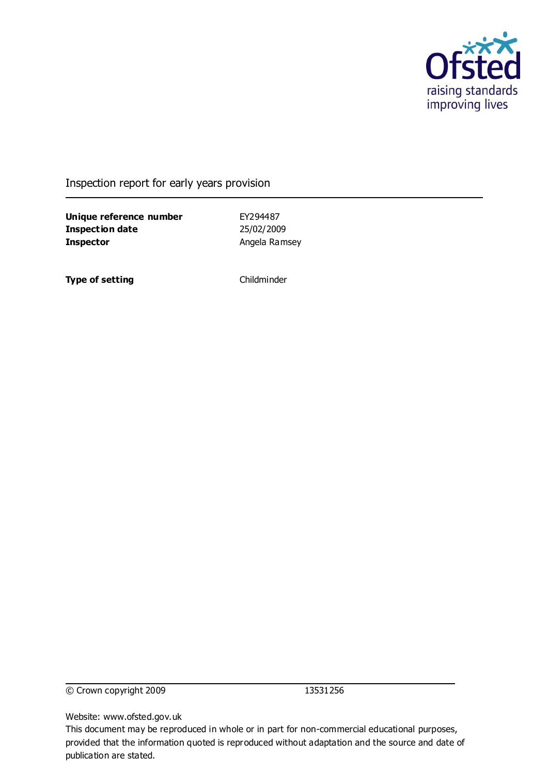

Inspection report for early years provision

**Unique reference number** EY294487 **Inspection date** 25/02/2009 **Inspector Angela Ramsey** 

**Type of setting** Childminder

© Crown copyright 2009 13531256

Website: www.ofsted.gov.uk

This document may be reproduced in whole or in part for non-commercial educational purposes, provided that the information quoted is reproduced without adaptation and the source and date of publication are stated.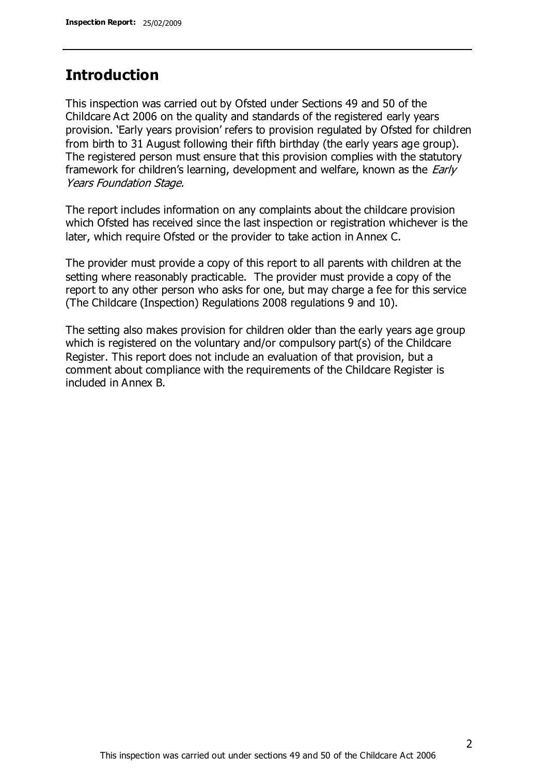## **Introduction**

This inspection was carried out by Ofsted under Sections 49 and 50 of the Childcare Act 2006 on the quality and standards of the registered early years provision. 'Early years provision' refers to provision regulated by Ofsted for children from birth to 31 August following their fifth birthday (the early years age group). The registered person must ensure that this provision complies with the statutory framework for children's learning, development and welfare, known as the *Early* Years Foundation Stage.

The report includes information on any complaints about the childcare provision which Ofsted has received since the last inspection or registration whichever is the later, which require Ofsted or the provider to take action in Annex C.

The provider must provide a copy of this report to all parents with children at the setting where reasonably practicable. The provider must provide a copy of the report to any other person who asks for one, but may charge a fee for this service (The Childcare (Inspection) Regulations 2008 regulations 9 and 10).

The setting also makes provision for children older than the early years age group which is registered on the voluntary and/or compulsory part(s) of the Childcare Register. This report does not include an evaluation of that provision, but a comment about compliance with the requirements of the Childcare Register is included in Annex B.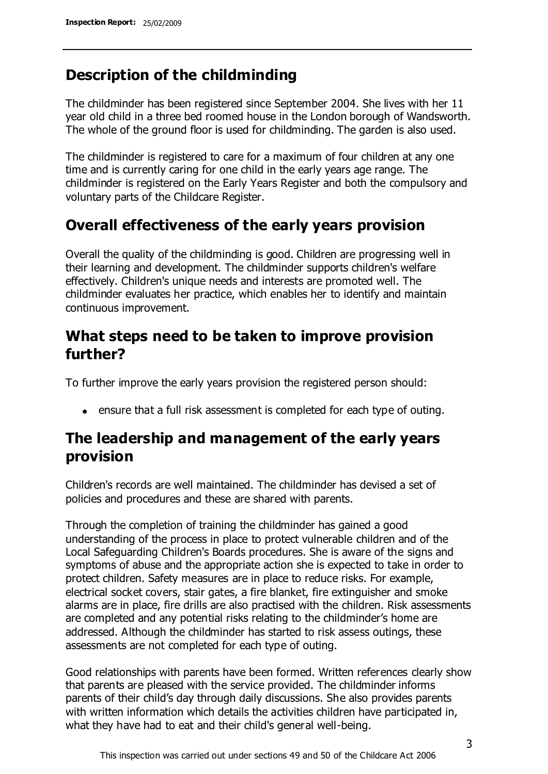## **Description of the childminding**

The childminder has been registered since September 2004. She lives with her 11 year old child in a three bed roomed house in the London borough of Wandsworth. The whole of the ground floor is used for childminding. The garden is also used.

The childminder is registered to care for a maximum of four children at any one time and is currently caring for one child in the early years age range. The childminder is registered on the Early Years Register and both the compulsory and voluntary parts of the Childcare Register.

## **Overall effectiveness of the early years provision**

Overall the quality of the childminding is good. Children are progressing well in their learning and development. The childminder supports children's welfare effectively. Children's unique needs and interests are promoted well. The childminder evaluates her practice, which enables her to identify and maintain continuous improvement.

## **What steps need to be taken to improve provision further?**

To further improve the early years provision the registered person should:

ensure that a full risk assessment is completed for each type of outing.

## **The leadership and management of the early years provision**

Children's records are well maintained. The childminder has devised a set of policies and procedures and these are shared with parents.

Through the completion of training the childminder has gained a good understanding of the process in place to protect vulnerable children and of the Local Safeguarding Children's Boards procedures. She is aware of the signs and symptoms of abuse and the appropriate action she is expected to take in order to protect children. Safety measures are in place to reduce risks. For example, electrical socket covers, stair gates, a fire blanket, fire extinguisher and smoke alarms are in place, fire drills are also practised with the children. Risk assessments are completed and any potential risks relating to the childminder's home are addressed. Although the childminder has started to risk assess outings, these assessments are not completed for each type of outing.

Good relationships with parents have been formed. Written references clearly show that parents are pleased with the service provided. The childminder informs parents of their child's day through daily discussions. She also provides parents with written information which details the activities children have participated in, what they have had to eat and their child's general well-being.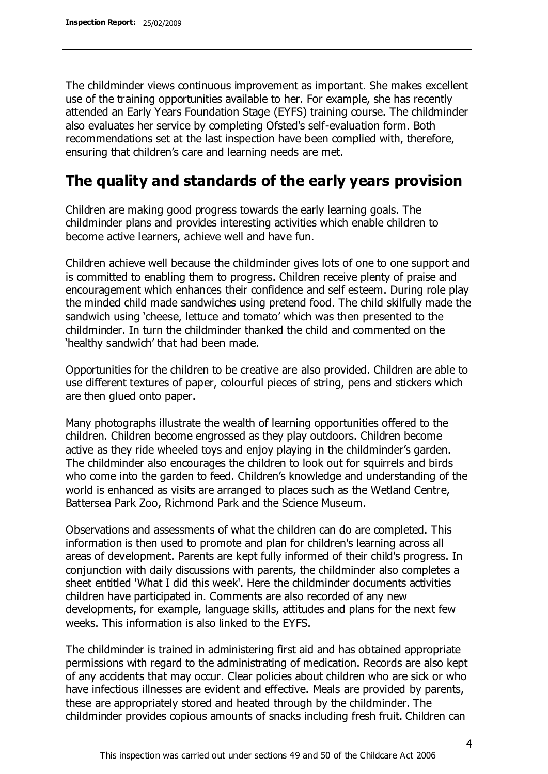The childminder views continuous improvement as important. She makes excellent use of the training opportunities available to her. For example, she has recently attended an Early Years Foundation Stage (EYFS) training course. The childminder also evaluates her service by completing Ofsted's self-evaluation form. Both recommendations set at the last inspection have been complied with, therefore, ensuring that children's care and learning needs are met.

## **The quality and standards of the early years provision**

Children are making good progress towards the early learning goals. The childminder plans and provides interesting activities which enable children to become active learners, achieve well and have fun.

Children achieve well because the childminder gives lots of one to one support and is committed to enabling them to progress. Children receive plenty of praise and encouragement which enhances their confidence and self esteem. During role play the minded child made sandwiches using pretend food. The child skilfully made the sandwich using 'cheese, lettuce and tomato' which was then presented to the childminder. In turn the childminder thanked the child and commented on the 'healthy sandwich' that had been made.

Opportunities for the children to be creative are also provided. Children are able to use different textures of paper, colourful pieces of string, pens and stickers which are then glued onto paper.

Many photographs illustrate the wealth of learning opportunities offered to the children. Children become engrossed as they play outdoors. Children become active as they ride wheeled toys and enjoy playing in the childminder's garden. The childminder also encourages the children to look out for squirrels and birds who come into the garden to feed. Children's knowledge and understanding of the world is enhanced as visits are arranged to places such as the Wetland Centre, Battersea Park Zoo, Richmond Park and the Science Museum.

Observations and assessments of what the children can do are completed. This information is then used to promote and plan for children's learning across all areas of development. Parents are kept fully informed of their child's progress. In conjunction with daily discussions with parents, the childminder also completes a sheet entitled 'What I did this week'. Here the childminder documents activities children have participated in. Comments are also recorded of any new developments, for example, language skills, attitudes and plans for the next few weeks. This information is also linked to the EYFS.

The childminder is trained in administering first aid and has obtained appropriate permissions with regard to the administrating of medication. Records are also kept of any accidents that may occur. Clear policies about children who are sick or who have infectious illnesses are evident and effective. Meals are provided by parents, these are appropriately stored and heated through by the childminder. The childminder provides copious amounts of snacks including fresh fruit. Children can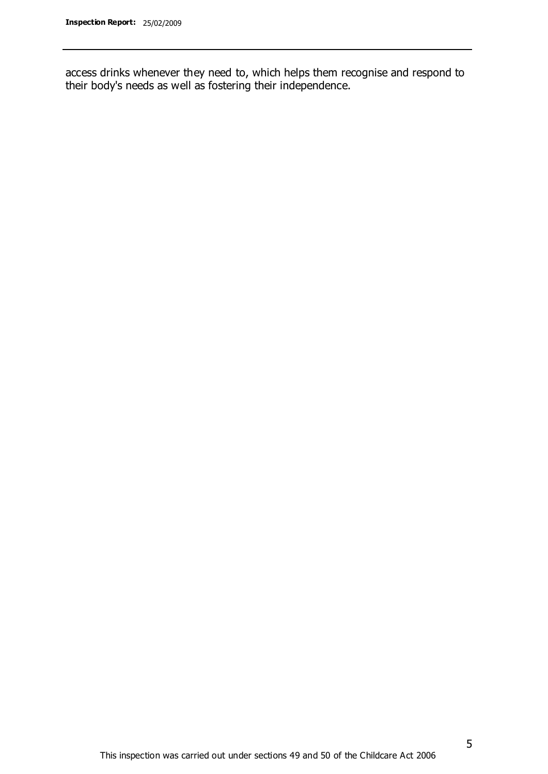access drinks whenever they need to, which helps them recognise and respond to their body's needs as well as fostering their independence.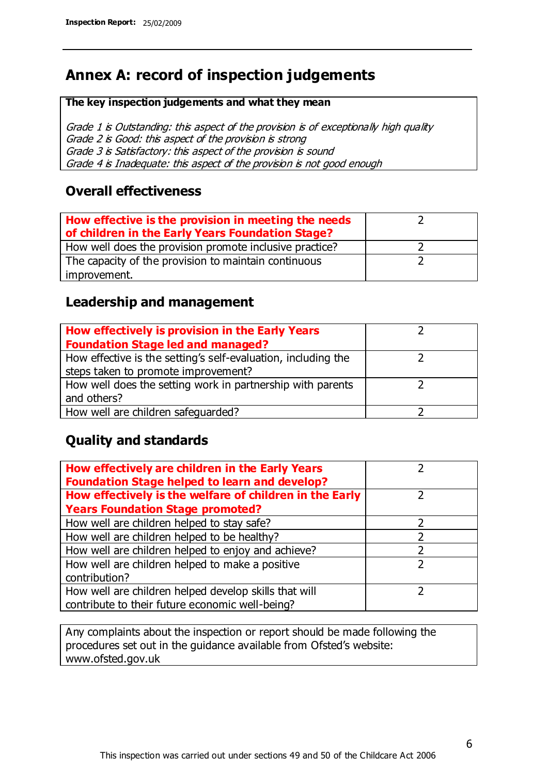# **Annex A: record of inspection judgements**

#### **The key inspection judgements and what they mean**

Grade 1 is Outstanding: this aspect of the provision is of exceptionally high quality Grade 2 is Good: this aspect of the provision is strong Grade 3 is Satisfactory: this aspect of the provision is sound Grade 4 is Inadequate: this aspect of the provision is not good enough

### **Overall effectiveness**

| How effective is the provision in meeting the needs<br>of children in the Early Years Foundation Stage? |  |
|---------------------------------------------------------------------------------------------------------|--|
| How well does the provision promote inclusive practice?                                                 |  |
| The capacity of the provision to maintain continuous                                                    |  |
| improvement.                                                                                            |  |

### **Leadership and management**

| How effectively is provision in the Early Years               |  |
|---------------------------------------------------------------|--|
| <b>Foundation Stage led and managed?</b>                      |  |
| How effective is the setting's self-evaluation, including the |  |
| steps taken to promote improvement?                           |  |
| How well does the setting work in partnership with parents    |  |
| and others?                                                   |  |
| How well are children safequarded?                            |  |

### **Quality and standards**

| How effectively are children in the Early Years<br><b>Foundation Stage helped to learn and develop?</b> |               |
|---------------------------------------------------------------------------------------------------------|---------------|
| How effectively is the welfare of children in the Early                                                 | ר             |
| <b>Years Foundation Stage promoted?</b>                                                                 |               |
| How well are children helped to stay safe?                                                              |               |
| How well are children helped to be healthy?                                                             |               |
| How well are children helped to enjoy and achieve?                                                      | 2             |
| How well are children helped to make a positive                                                         | $\mathcal{P}$ |
| contribution?                                                                                           |               |
| How well are children helped develop skills that will                                                   |               |
| contribute to their future economic well-being?                                                         |               |

Any complaints about the inspection or report should be made following the procedures set out in the guidance available from Ofsted's website: www.ofsted.gov.uk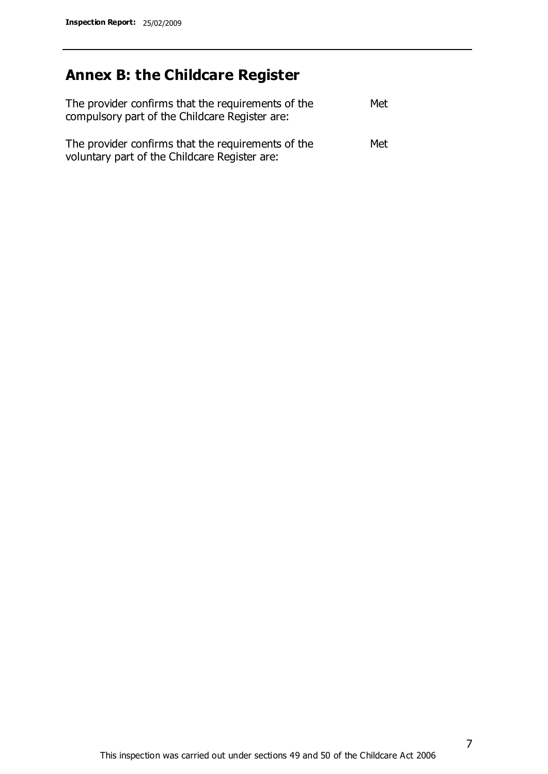# **Annex B: the Childcare Register**

| The provider confirms that the requirements of the<br>compulsory part of the Childcare Register are: | Met |
|------------------------------------------------------------------------------------------------------|-----|
| The provider confirms that the requirements of the<br>voluntary part of the Childcare Register are:  | Met |